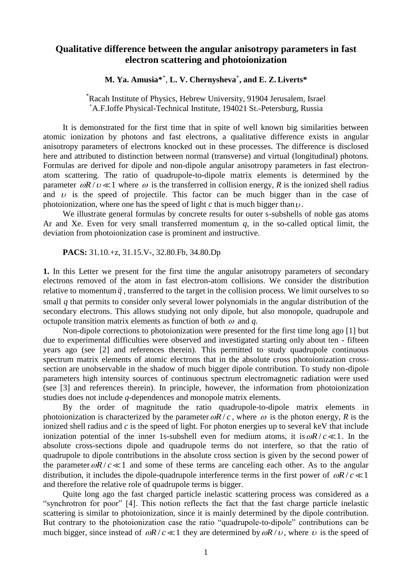## **Qualitative difference between the angular anisotropy parameters in fast electron scattering and photoionization**

## **M. Ya. Amusia\* +** , **L. V. Chernysheva<sup>+</sup> , and E. Z. Liverts\***

\*Racah Institute of Physics, Hebrew University, 91904 Jerusalem, Israel <sup>+</sup>A.F.Ioffe Physical-Technical Institute, 194021 St.-Petersburg, Russia

It is demonstrated for the first time that in spite of well known big similarities between atomic ionization by photons and fast electrons, a qualitative difference exists in angular anisotropy parameters of electrons knocked out in these processes. The difference is disclosed here and attributed to distinction between normal (transverse) and virtual (longitudinal) photons. Formulas are derived for dipole and non-dipole angular anisotropy parameters in fast electronatom scattering. The ratio of quadrupole-to-dipole matrix elements is determined by the parameter  $\omega R / v \ll 1$  where  $\omega$  is the transferred in collision energy, R is the ionized shell radius and  $\upsilon$  is the speed of projectile. This factor can be much bigger than in the case of photoionization, where one has the speed of light  $c$  that is much bigger than  $\nu$ .

We illustrate general formulas by concrete results for outer s-subshells of noble gas atoms Ar and Xe. Even for very small transferred momentum *q*, in the so-called optical limit, the deviation from photoionization case is prominent and instructive.

**PACS:** 31.10.+z, 31.15.V-, 32.80.Fb, 34.80.Dp

**1.** In this Letter we present for the first time the angular anisotropy parameters of secondary electrons removed of the atom in fast electron-atom collisions. We consider the distribution relative to momentum  $\vec{q}$ , transferred to the target in the collision process. We limit ourselves to so small *q* that permits to consider only several lower polynomials in the angular distribution of the secondary electrons. This allows studying not only dipole, but also monopole, quadrupole and octupole transition matrix elements as function of both  $\omega$  and  $q$ .

Non-dipole corrections to photoionization were presented for the first time long ago [1] but due to experimental difficulties were observed and investigated starting only about ten - fifteen years ago (see [2] and references therein). This permitted to study quadrupole continuous spectrum matrix elements of atomic electrons that in the absolute cross photoionization crosssection are unobservable in the shadow of much bigger dipole contribution. To study non-dipole parameters high intensity sources of continuous spectrum electromagnetic radiation were used (see [3] and references therein). In principle, however, the information from photoionization studies does not include *q-*dependences and monopole matrix elements.

By the order of magnitude the ratio quadrupole-to-dipole matrix elements in photoionization is characterized by the parameter  $\omega R/c$ , where  $\omega$  is the photon energy, R is the ionized shell radius and *c* is the speed of light. For photon energies up to several keV that include ionization potential of the inner 1s-subshell even for medium atoms, it is  $\omega R/c \ll 1$ . In the absolute cross-sections dipole and quadrupole terms do not interfere, so that the ratio of quadrupole to dipole contributions in the absolute cross section is given by the second power of the parameter  $\omega R / c \ll 1$  and some of these terms are canceling each other. As to the angular distribution, it includes the dipole-quadrupole interference terms in the first power of  $\omega R/c \ll 1$ and therefore the relative role of quadrupole terms is bigger.

Quite long ago the fast charged particle inelastic scattering process was considered as a "synchrotron for poor" [4]. This notion reflects the fact that the fast charge particle inelastic scattering is similar to photoionization, since it is mainly determined by the dipole contribution. But contrary to the photoionization case the ratio "quadrupole-to-dipole" contributions can be much bigger, since instead of  $\omega R/c \ll 1$  they are determined by  $\omega R/v$ , where v is the speed of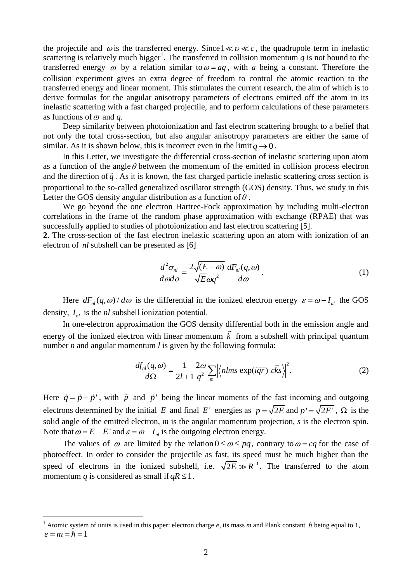the projectile and  $\omega$  is the transferred energy. Since  $1 \ll v \ll c$ , the quadrupole term in inelastic scattering is relatively much bigger<sup>1</sup>. The transferred in collision momentum  $q$  is not bound to the transferred energy  $\omega$  by a relation similar to  $\omega = aq$ , with a being a constant. Therefore the collision experiment gives an extra degree of freedom to control the atomic reaction to the transferred energy and linear moment. This stimulates the current research, the aim of which is to derive formulas for the angular anisotropy parameters of electrons emitted off the atom in its inelastic scattering with a fast charged projectile, and to perform calculations of these parameters as functions of  $\omega$  and  $q$ .

Deep similarity between photoionization and fast electron scattering brought to a belief that not only the total cross-section, but also angular anisotropy parameters are either the same of similar. As it is shown below, this is incorrect even in the limit  $q \rightarrow 0$ .

In this Letter, we investigate the differential cross-section of inelastic scattering upon atom as a function of the angle  $\theta$  between the momentum of the emitted in collision process electron and the direction of  $\vec{q}$ . As it is known, the fast charged particle inelastic scattering cross section is proportional to the so-called generalized oscillator strength (GOS) density. Thus, we study in this Letter the GOS density angular distribution as a function of  $\theta$ .

We go beyond the one electron Hartree-Fock approximation by including multi-electron correlations in the frame of the random phase approximation with exchange (RPAE) that was successfully applied to studies of photoionization and fast electron scattering [5].

**2.** The cross-section of the fast electron inelastic scattering upon an atom with ionization of an electron of *nl* subshell can be presented as [6]

$$
\frac{d^2\sigma_{nl}}{d\omega d\phi} = \frac{2\sqrt{(E-\omega)}}{\sqrt{E}\omega q^2} \frac{dF_{nl}(q,\omega)}{d\omega}.
$$
\n(1)

Here  $dF_{nl}(q, \omega) / d\omega$  is the differential in the ionized electron energy  $\varepsilon = \omega - I_{nl}$  the GOS density,  $I_{nl}$  is the  $nl$  subshell ionization potential.

In one-electron approximation the GOS density differential both in the emission angle and energy of the ionized electron with linear momentum  $k$  from a subshell with principal quantum number *n* and angular momentum *l* is given by the following formula:<br> $\frac{df_{nl}(q, \omega)}{dt} = \frac{1}{2\omega} \sum_{n=1}^{\infty} |f_n| \frac{d\vec{r}}{dt} |\vec{r}|$ 

$$
\frac{df_{nl}(q,\omega)}{d\Omega} = \frac{1}{2l+1} \frac{2\omega}{q^2} \sum_{m} \left| \left\langle nlms \left| \exp(i\vec{q}\vec{r}) \right| \vec{eks} \right\rangle \right|^2.
$$
 (2)

Here  $\vec{q} = \vec{p} - \vec{p}$ ', with  $\vec{p}$  and  $\vec{p}$ ' being the linear moments of the fast incoming and outgoing electrons determined by the initial E and final E' energies as  $p = \sqrt{2E}$  and  $p' = \sqrt{2E'}$ ,  $\Omega$  is the solid angle of the emitted electron, *m* is the angular momentum projection, *s* is the electron spin. Note that  $\omega = E - E'$  and  $\varepsilon = \omega - I_{nl}$  is the outgoing electron energy.

The values of  $\omega$  are limited by the relation  $0 \le \omega \le pq$ , contrary to  $\omega = cq$  for the case of photoeffect. In order to consider the projectile as fast, its speed must be much higher than the speed of electrons in the ionized subshell, i.e.  $\sqrt{2E} \gg R^{-1}$ . The transferred to the atom momentum *q* is considered as small if  $qR \leq 1$ .

 $\overline{a}$ 

<sup>&</sup>lt;sup>1</sup> Atomic system of units is used in this paper: electron charge *e*, its mass *m* and Plank constant  $\hbar$  being equal to 1,  $e = m = \hbar = 1$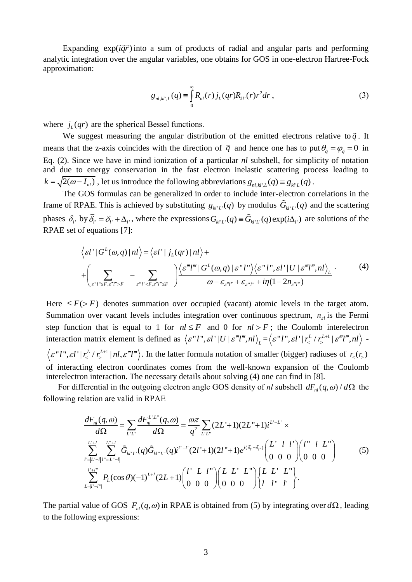Expanding  $exp(i\vec{q}\vec{r})$  into a sum of products of radial and angular parts and performing analytic integration over the angular variables, one obtains for GOS in one-electron Hartree-Fock approximation:

$$
g_{nl,kl',L}(q) \equiv \int_{0}^{\infty} R_{nl}(r) j_L(qr) R_{kl'}(r) r^2 dr , \qquad (3)
$$

where  $j_L(qr)$  are the spherical Bessel functions.

We suggest measuring the angular distribution of the emitted electrons relative to  $\vec{q}$ . It means that the z-axis coincides with the direction of  $\vec{q}$  and hence one has to put  $\theta_{\vec{q}} = \varphi_{\vec{q}} = 0$  in Eq. (2). Since we have in mind ionization of a particular *nl* subshell, for simplicity of notation and due to energy conservation in the fast electron inelastic scattering process leading to  $k = \sqrt{2(\omega - I_{nl})}$ , let us introduce the following abbreviations  $g_{nl,kl',L}(q) = g_{kl'L}(q)$ .

The GOS formulas can be generalized in order to include inter-electron correlations in the frame of RPAE. This is achieved by substituting  $g_{kl'L}(q)$  by modulus  $G_{kl'L}(q)$  and the scattering phases  $\delta_{l'}$  by  $\overline{\delta}_{l'} = \delta_{l'} + \Delta_{l'}$ , where the expressions  $G_{kl'L'}(q) \equiv \widetilde{G}_{kl'L'}(q) \exp(i\Delta_{l'})$  are solutions of the RPAE set of equations [7]:

$$
\begin{aligned}\n\text{by } & \sigma_{l'} = \sigma_{l'} + \Delta_{l'}, \text{ where the expressions } \sigma_{kl'L'}(q) = \sigma_{kl'L'}(q) \exp(i\Delta_{l'}) \text{ are solutions of the } \\
\text{of equations [7]:} \\
& \left\langle \varepsilon l' | G^L(\omega, q) | n l \right\rangle &= \left\langle \varepsilon l' | j_L(qr) | n l \right\rangle + \\
&+ \left( \sum_{\varepsilon'' l'' \leq F, \varepsilon''' l'' > F} - \sum_{\varepsilon'' l'' < F, \varepsilon''' l''' \leq F} \right) \frac{\left\langle \varepsilon''' l''' | G^L(\omega, q) | \varepsilon'' l'' \right\rangle \left\langle \varepsilon'' l'', \varepsilon l' | U | \varepsilon''' l''', n l \right\rangle_L}{\omega - \varepsilon_{\varepsilon''' l''} + \varepsilon_{\varepsilon'' l''} + i\eta (1 - 2n_{\varepsilon''' l''})}.\n\end{aligned} \tag{4}
$$

Here  $\leq F$   $\geq$  *F*  $\geq$  denotes summation over occupied (vacant) atomic levels in the target atom. Summation over vacant levels includes integration over continuous spectrum,  $n_{el}$  is the Fermi step function that is equal to 1 for  $nl \leq F$  and 0 for  $nl > F$ ; the Coulomb interelectron interaction matrix element is defined as  $\langle \varepsilon^n l^n, \varepsilon l' | U | \varepsilon^m l^m, n l \rangle_L = \langle \varepsilon^n l^n, \varepsilon l' | r \varepsilon^L r \varepsilon^{L+1} \rangle_L$  $\varepsilon$ "*l*",  $\varepsilon$ *l*'  $|r_{\zeta}^{L}/r_{\zeta}^{L+1}| \varepsilon$ "*l*", *nl*) -1  $\varepsilon'' l''$ ,  $\varepsilon l' | r_{\zeta}^L / r_{\zeta}^{L+1} | n l, \varepsilon''' l''' \rangle$ . In the latter formula notation of smaller (bigger) radiuses of  $r_{\zeta}(r_{\zeta})$ of interacting electron coordinates comes from the well-known expansion of the Coulomb interelectron interaction. The necessary details about solving (4) one can find in [8].

following relation are valid in RPAE<br>  $dF_{nl}(q,\omega) \sum dF_{nl}^{L',L''}(q,\omega)$ 

For differential in the outgoing electron angle GOS density of *nl* subshell 
$$
dF_{nl}(q,\omega) / d\Omega
$$
 the  
wing relation are valid in RPAE  

$$
\frac{dF_{nl}(q,\omega)}{d\Omega} = \sum_{L'L'} \frac{dF_{nl}^{L'L''}(q,\omega)}{d\Omega} = \frac{\omega \pi}{q^2} \sum_{L'L''} (2L'+1)(2L''+1)i^{L'-L''} \times
$$

$$
\sum_{l'=|L'-l|}^{L'+l} \sum_{l''=|L''-l|}^{L''+l} \tilde{G}_{kl'L'}(q) \tilde{G}_{kl''L''}(q)i^{l''-l''}(2l'+1)(2l''+1)e^{i(\bar{\delta}_{l'}-\bar{\delta}_{l''})} \begin{pmatrix} L' & l & l' \\ 0 & 0 & 0 \end{pmatrix} \begin{pmatrix} l'' & l & L'' \\ 0 & 0 & 0 \end{pmatrix}
$$
(5)
$$
\sum_{L=|l'-l|}^{l'+l''} P_L(\cos\theta)(-1)^{L+l} (2L+1) \begin{pmatrix} l' & L & l'' \\ 0 & 0 & 0 \end{pmatrix} \begin{pmatrix} L & L' & L'' \\ 0 & 0 & 0 \end{pmatrix} \begin{pmatrix} L & L' & L'' \\ l & l'' & l' \end{pmatrix}.
$$

The partial value of GOS  $F_{nl}(q,\omega)$  in RPAE is obtained from (5) by integrating over  $d\Omega$ , leading to the following expressions: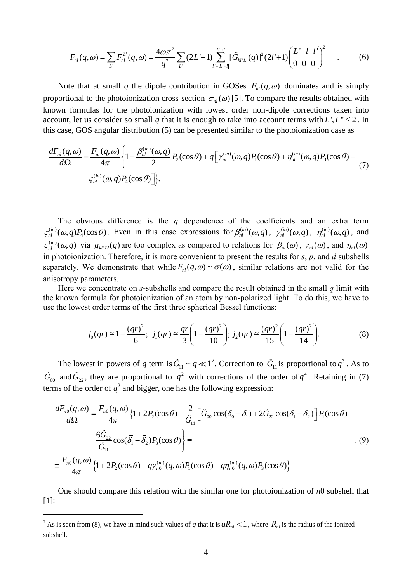$$
F_{nl}(q,\omega) = \sum_{L'} F_{nl}^{L'}(q,\omega) = \frac{4\omega\pi^2}{q^2} \sum_{L'} (2L'+1) \sum_{l'=\lvert L'-l \rvert}^{L'+l} [\tilde{G}_{kl'L'}(q)]^2 (2l'+1) \begin{pmatrix} L' & l & l' \\ 0 & 0 & 0 \end{pmatrix}^2
$$
 (6)

Note that at small q the dipole contribution in GOSes  $F_{nl}(q, \omega)$  dominates and is simply proportional to the photoionization cross-section  $\sigma_{nl}(\omega)$  [5]. To compare the results obtained with known formulas for the photoionization with lowest order non-dipole corrections taken into account, let us consider so small *q* that it is enough to take into account terms with *L'*,  $L'' \le 2$ . In this case, GOS angular distribution (5) can be presented similar to the photoionization case as  $\frac{dF_{nl}(q,\omega)}{d\Omega}$ 

this case, GOS angular distribution (5) can be presented similar to the photoionization case as  
\n
$$
\frac{dF_{nl}(q,\omega)}{d\Omega} = \frac{F_{nl}(q,\omega)}{4\pi} \left\{ 1 - \frac{\beta_{nl}^{(in)}(\omega,q)}{2} P_2(\cos\theta) + q \left[ \gamma_{nl}^{(in)}(\omega,q) P_1(\cos\theta) + \eta_{nl}^{(in)}(\omega,q) P_3(\cos\theta) + \right. \\ \left. \zeta_{nl}^{(in)}(\omega,q) P_4(\cos\theta) \right] \right\}.
$$
\n(7)

The obvious difference is the *q* dependence of the coefficients and an extra term  $(in)$  $\zeta_{nl}^{(in)}(\omega, q)P_4(\cos\theta)$ . Even in this case expressions for  $\beta_{nl}^{(in)}(\omega, q)$ ,  $\gamma_{nl}^{(in)}(\omega, q)$ ,  $\eta_{nl}^{(in)}(\omega, q)$ , and  $\zeta_{nl}^{(in)}(\omega, q)$  via  $g_{kl'L}(q)$  are too complex as compared to relations for  $\beta_{nl}(\omega)$ ,  $\gamma_{nl}(\omega)$ , and  $\eta_{nl}(\omega)$ in photoionization. Therefore, it is more convenient to present the results for *s*, *p*, and *d* subshells separately. We demonstrate that while  $F_{nl}(q, \omega) \sim \sigma(\omega)$ , similar relations are not valid for the anisotropy parameters.

Here we concentrate on *s*-subshells and compare the result obtained in the small *q* limit with the known formula for photoionization of an atom by non-polarized light. To do this, we have to

use the lowest order terms of the first three spherical Bessel functions:  
\n
$$
j_0(qr) \approx 1 - \frac{(qr)^2}{6}; \ j_1(qr) \approx \frac{qr}{3} \left(1 - \frac{(qr)^2}{10}\right); \ j_2(qr) \approx \frac{(qr)^2}{15} \left(1 - \frac{(qr)^2}{14}\right).
$$
\n(8)

The lowest in powers of *q* term is  $\tilde{G}_{11} \sim q \ll 1^2$ . Correction to  $\tilde{G}_{11}$  is proportional to  $q^3$ . As to  $\tilde{G}_{00}$  and  $\tilde{G}_{22}$ , they are proportional to  $q^2$  with corrections of the order of  $q^4$ . Retaining in (7)<br>terms of the order of  $q^2$  and bigger, one has the following expression:<br> $\frac{dF_{n0}(q,\omega)}{d\Omega} = \frac{F_{n0}(q,\$ 

$$
G_{00} \text{ and } G_{22}, \text{ they are proportional to } q^2 \text{ with corrections of the order of } q^2. \text{ Retanning in (7)}
$$
\nterms of the order of  $q^2$  and bigger, one has the following expression:\n
$$
\frac{dF_{n0}(q,\omega)}{d\Omega} = \frac{F_{n0}(q,\omega)}{4\pi} \{1 + 2P_2(\cos\theta) + \frac{2}{\tilde{G}_{11}} \left[ \tilde{G}_{00} \cos(\overline{\delta_0} - \overline{\delta_1}) + 2\tilde{G}_{22} \cos(\overline{\delta_1} - \overline{\delta_2}) \right] P_1(\cos\theta) + \frac{6\tilde{G}_{22}}{\tilde{G}_{11}} \cos(\overline{\delta_1} - \overline{\delta_2}) P_3(\cos\theta) \}
$$
\n
$$
\equiv \frac{F_{n0}(q,\omega)}{4\pi} \{1 + 2P_2(\cos\theta) + q\gamma_{n0}^{(in)}(q,\omega)P_1(\cos\theta) + q\eta_{n0}^{(in)}(q,\omega)P_3(\cos\theta) \}
$$
\n(9)

One should compare this relation with the similar one for photoionization of *n*0 subshell that [1]:

 $\overline{a}$ 

<sup>&</sup>lt;sup>2</sup> As is seen from (8), we have in mind such values of *q* that it is  $qR_{nl} < 1$ , where  $R_{nl}$  is the radius of the ionized subshell.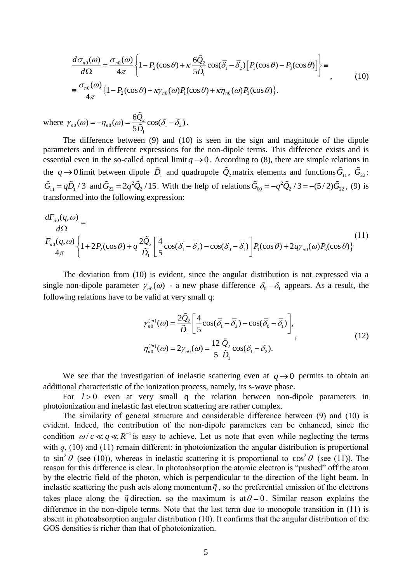$$
\frac{d\sigma_{n0}(\omega)}{d\Omega} = \frac{\sigma_{n0}(\omega)}{4\pi} \left\{ 1 - P_2(\cos\theta) + \kappa \frac{6\tilde{Q}_2}{5\tilde{D}_1} \cos(\bar{\delta}_1 - \bar{\delta}_2) \left[ P_1(\cos\theta) - P_3(\cos\theta) \right] \right\} = \frac{\sigma_{n0}(\omega)}{4\pi} \left\{ 1 - P_2(\cos\theta) + \kappa \gamma_{n0}(\omega) P_1(\cos\theta) + \kappa \eta_{n0}(\omega) P_3(\cos\theta) \right\}.
$$
\n(10)

where  $\gamma_{n0}(\omega) = -\eta_{n0}(\omega) = \frac{\omega_{22}}{5\tilde{D}_1} \cos(\bar{\delta}_1 - \bar{\delta}_2)$  $\eta_{n0}(\omega) = -\eta_{n0}(\omega) = \frac{6\tilde{Q}_2}{5\tilde{D}_1}\cos(\bar{\delta}_1 - \bar{\delta}_2)$  $\gamma_{n0}(\omega) = -\eta_{n0}(\omega) = \frac{6\tilde{Q}_2}{5\tilde{D}_1} \cos(\bar{\delta}_1 - \bar{\delta}_2).$ 

The difference between (9) and (10) is seen in the sign and magnitude of the dipole parameters and in different expressions for the non-dipole terms. This difference exists and is essential even in the so-called optical limit  $q \rightarrow 0$ . According to (8), there are simple relations in the  $q \to 0$  limit between dipole  $\tilde{D}_1$  and quadrupole  $\tilde{Q}_2$  matrix elements and functions  $\tilde{G}_{11}$ ,  $\tilde{G}_{22}$ :  $\tilde{G}_{11} = q\tilde{D}_1/3$  and  $\tilde{G}_{22} = 2q^2\tilde{Q}_2/15$ . With the help of relations  $\tilde{G}_{00} = -q^2$  $\tilde{G}_{11} = q\tilde{D}_1/3$  and  $\tilde{G}_{22} = 2q^2\tilde{Q}_2/15$ . With the help of relations  $\tilde{G}_{00} = -q^2\tilde{Q}_2/3 = -(5/2)\tilde{G}_{22}$ , (9) is ransformed into the following expression:<br> $\frac{dF_{n0}(q,\omega)}{d\Omega} =$ transformed into the following expression:

$$
\frac{dF_{n0}(q,\omega)}{d\Omega} = \frac{F_{n0}(q,\omega)}{4\pi} \left\{ 1 + 2P_2(\cos\theta) + q \frac{2\tilde{Q}_2}{\tilde{D}_1} \left[ \frac{4}{5}\cos(\bar{\delta}_1 - \bar{\delta}_2) - \cos(\bar{\delta}_0 - \bar{\delta}_1) \right] P_1(\cos\theta) + 2q\gamma_{n0}(\omega) P_3(\cos\theta) \right\} \tag{11}
$$

The deviation from (10) is evident, since the angular distribution is not expressed via a single non-dipole parameter  $\gamma_{n0}(\omega)$  - a new phase difference  $\overline{\delta}_0 - \overline{\delta}_1$  appears. As a result, the following relations have to be valid at very small q:

$$
\gamma_{n0}^{(in)}(\omega) = \frac{2\tilde{Q}_2}{\tilde{D}_1} \left[ \frac{4}{5} \cos(\bar{\delta}_1 - \bar{\delta}_2) - \cos(\bar{\delta}_0 - \bar{\delta}_1) \right],
$$
  
\n
$$
\eta_{n0}^{(in)}(\omega) = 2\gamma_{n0}(\omega) = \frac{12}{5} \frac{\tilde{Q}_2}{\tilde{D}_1} \cos(\bar{\delta}_1 - \bar{\delta}_2).
$$
\n(12)

We see that the investigation of inelastic scattering even at  $q \rightarrow 0$  permits to obtain an additional characteristic of the ionization process, namely, its s-wave phase.

For  $l > 0$  even at very small q the relation between non-dipole parameters in photoionization and inelastic fast electron scattering are rather complex.

The similarity of general structure and considerable difference between (9) and (10) is evident. Indeed, the contribution of the non-dipole parameters can be enhanced, since the condition  $\omega/c \ll q \ll R^{-1}$  is easy to achieve. Let us note that even while neglecting the terms with *q*, (10) and (11) remain different: in photoionization the angular distribution is proportional to  $\sin^2 \theta$  (see (10)), whereas in inelastic scattering it is proportional to  $\cos^2 \theta$  (see (11)). The reason for this difference is clear. In photoabsorption the atomic electron is "pushed" off the atom by the electric field of the photon, which is perpendicular to the direction of the light beam. In inelastic scattering the push acts along momentum  $\vec{q}$ , so the preferential emission of the electrons takes place along the  $\vec{q}$  direction, so the maximum is at  $\theta = 0$ . Similar reason explains the difference in the non-dipole terms. Note that the last term due to monopole transition in (11) is absent in photoabsorption angular distribution (10). It confirms that the angular distribution of the GOS densities is richer than that of photoionization.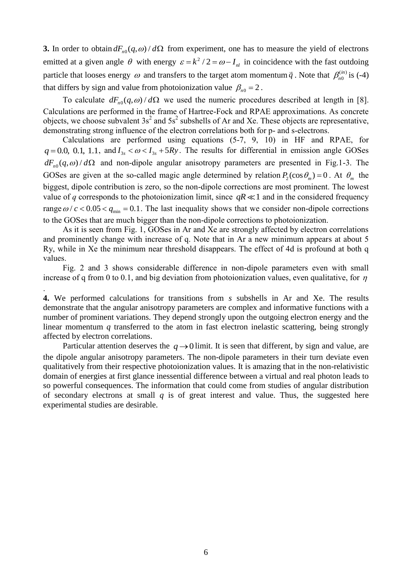**3.** In order to obtain  $dF_{n0}(q, \omega) / d\Omega$  from experiment, one has to measure the yield of electrons emitted at a given angle  $\theta$  with energy  $\varepsilon = k^2/2 = \omega - I_{nl}$  in coincidence with the fast outdoing particle that looses energy  $\omega$  and transfers to the target atom momentum  $\vec{q}$ . Note that  $\beta_{n_0}^{(in)}$  $\beta_{n0}^{(in)}$  is (-4) that differs by sign and value from photoionization value  $\beta_{n0} = 2$ .

To calculate  $dF_{n0}(q,\omega)/d\Omega$  we used the numeric procedures described at length in [8]. Calculations are performed in the frame of Hartree-Fock and RPAE approximations. As concrete objects, we choose subvalent  $3s^2$  and  $5s^2$  subshells of Ar and Xe. These objects are representative, demonstrating strong influence of the electron correlations both for p- and s-electrons.

Calculations are performed using equations (5-7, 9, 10) in HF and RPAE, for  $q = 0.0, 0.1, 1.1,$  and  $I_{3s} < \omega < I_{3s} + 5Ry$ . The results for differential in emission angle GOSes  $dF_{n0}(q,\omega)/d\Omega$  and non-dipole angular anisotropy parameters are presented in Fig.1-3. The GOSes are given at the so-called magic angle determined by relation  $P_2(\cos \theta_m) = 0$ . At  $\theta_m$  the biggest, dipole contribution is zero, so the non-dipole corrections are most prominent. The lowest value of *q* corresponds to the photoionization limit, since  $qR \ll 1$  and in the considered frequency range  $\omega/c < 0.05 < q_{\text{min}} = 0.1$ . The last inequality shows that we consider non-dipole corrections to the GOSes that are much bigger than the non-dipole corrections to photoionization.

As it is seen from Fig. 1, GOSes in Ar and Xe are strongly affected by electron correlations and prominently change with increase of q. Note that in Ar a new minimum appears at about 5 Ry, while in Xe the minimum near threshold disappears. The effect of 4d is profound at both q values.

Fig. 2 and 3 shows considerable difference in non-dipole parameters even with small increase of q from 0 to 0.1, and big deviation from photoionization values, even qualitative, for  $\eta$ 

.

**4.** We performed calculations for transitions from *s* subshells in Ar and Xe. The results demonstrate that the angular anisotropy parameters are complex and informative functions with a number of prominent variations. They depend strongly upon the outgoing electron energy and the linear momentum *q* transferred to the atom in fast electron inelastic scattering, being strongly affected by electron correlations.

Particular attention deserves the  $q \rightarrow 0$  limit. It is seen that different, by sign and value, are the dipole angular anisotropy parameters. The non-dipole parameters in their turn deviate even qualitatively from their respective photoionization values. It is amazing that in the non-relativistic domain of energies at first glance inessential difference between a virtual and real photon leads to so powerful consequences. The information that could come from studies of angular distribution of secondary electrons at small *q* is of great interest and value. Thus, the suggested here experimental studies are desirable.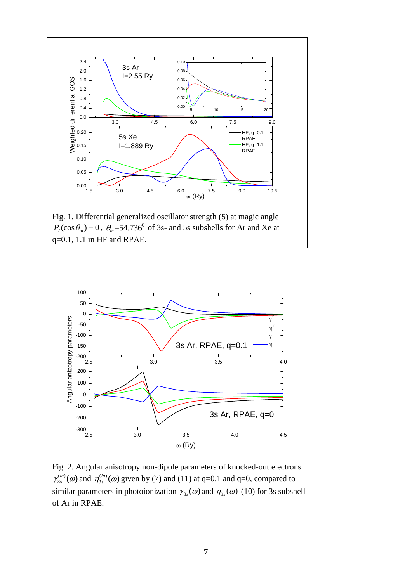

Fig. 1. Differential generalized oscillator strength (5) at magic angle  $P_2(\cos \theta_m) = 0$ ,  $\theta_m = 54.736^\circ$  of 3s- and 5s subshells for Ar and Xe at q=0.1, 1.1 in HF and RPAE.



Fig. 2. Angular anisotropy non-dipole parameters of knocked-out electrons  $(in)$  $\gamma_{3s}^{(in)}(\omega)$  and  $\eta_{3s}^{(in)}$  $\eta_{3s}^{(in)}(\omega)$  given by (7) and (11) at q=0.1 and q=0, compared to similar parameters in photoionization  $\gamma_{3s}(\omega)$  and  $\eta_{3s}(\omega)$  (10) for 3s subshell of Ar in RPAE.